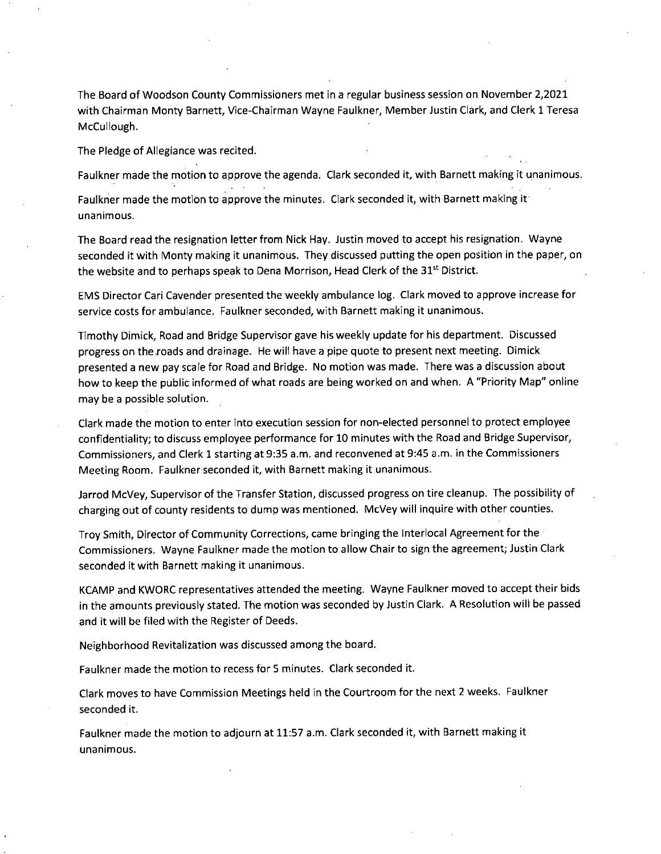The Board of Woodson County Commissioners met in a regular business session on November 2,2021 with Chairman Monty Barnett, Vice-Chairman Wayne Faulkner, Member Justin Clark, and Clerk 1 Teresa McCullough.

The Pledge of Allegiance was recited.

Faulkner made the motion to approve the agenda. Clark seconded it, with Barnett making it unanimous.

Faulkner made the motion to approve the minutes. Clark seconded it, with Barnett making it unanimous.

The Board read the resignation letter from Nick Hay. Justin moved to accept his resignation. Wayne seconded it with Monty making it unanimous. They discussed putting the open position in the paper, on the website and to perhaps speak to Dena Morrison, Head Clerk of the 31<sup>st</sup> District.

EMS Director Cari Cavender presented the weekly ambulance log. Clark moved to approve increase for service costs for ambulance. Faulkner seconded, with Barnett making it unanimous.

Timothy Dimick, Road and Bridge Supervisor gave his weekly update for his department. Discussed progress on the roads and drainage. He will have a pipe quote to present next meeting. Dimick presented a new pay scale for Road and Bridge. No motion was made. There was a discussion about how to keep the public informed of what roads are being worked on and when. A "Priority Map" online may be a possible solution.

Clark made the motion to enter into execution session for non-elected personnel to protect employee confidentiality; to discuss employee performance for 10 minutes with the Road and Bridge Supervisor, Commissioners, and Clerk 1 starting at 9:35 a.m. and reconvened at 9:45 a.m. in the Commissioners Meeting Room. Faulkner seconded it, with Barnett making it unanimous.

Jarrod McVey, Supervisor of the Transfer Station, discussed progress on tire cleanup. The possibility of charging out of county residents to dump was mentioned. McVey will inquire with other counties.

Troy Smith, Director of Community Corrections, came bringing the Interlocal Agreement for the Commissioners. Wayne Faulkner made the motion to allow Chair to sign the agreement; Justin Clark seconded it with Barnett making it unanimous.

KCAMP and KWORC representatives attended the meeting. Wayne Faulkner moved to accept their bids in the amounts previously stated. The motion was seconded by Justin Clark. A Resolution will be passed and it will be filed with the Register of Deeds.

Neighborhood Revitalization was discussed among the board.

Faulkner made the motion to recess for 5 minutes. Clark seconded it.

Clark moves to have Commission Meetings held in the Courtroom for the next 2 weeks. Faulkner seconded it.

Faulkner made the motion to adjourn at 11:57 a.m. Clark seconded it, with Barnett making it unanimous.